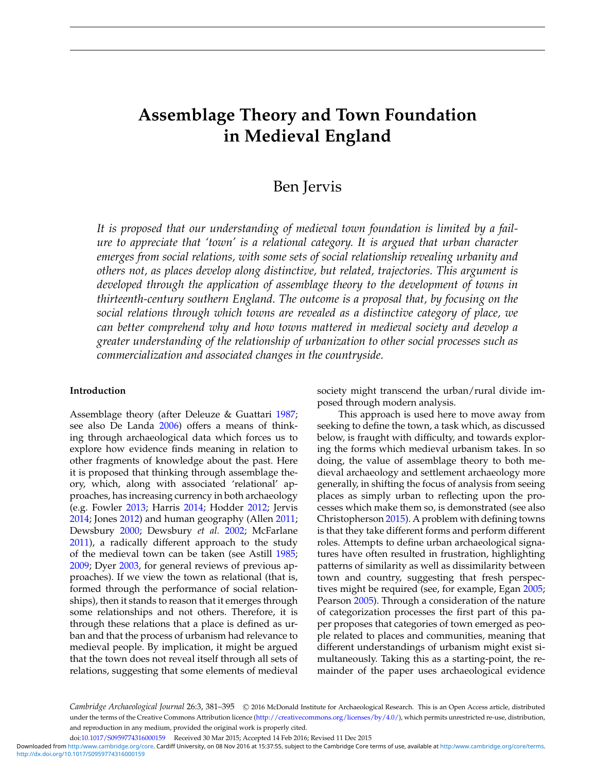# **Assemblage Theory and Town Foundation in Medieval England**

# Ben Jervis

*It is proposed that our understanding of medieval town foundation is limited by a failure to appreciate that 'town' is a relational category. It is argued that urban character emerges from social relations, with some sets of social relationship revealing urbanity and others not, as places develop along distinctive, but related, trajectories. This argument is developed through the application of assemblage theory to the development of towns in thirteenth-century southern England. The outcome is a proposal that, by focusing on the social relations through which towns are revealed as a distinctive category of place, we can better comprehend why and how towns mattered in medieval society and develop a greater understanding of the relationship of urbanization to other social processes such as commercialization and associated changes in the countryside.*

# **Introduction**

Assemblage theory (after Deleuze & Guattari [1987;](#page-12-0) see also De Landa [2006\)](#page-12-0) offers a means of thinking through archaeological data which forces us to explore how evidence finds meaning in relation to other fragments of knowledge about the past. Here it is proposed that thinking through assemblage theory, which, along with associated 'relational' approaches, has increasing currency in both archaeology (e.g. Fowler [2013;](#page-13-0) Harris [2014;](#page-13-0) Hodder [2012;](#page-13-0) Jervis [2014;](#page-13-0) Jones [2012\)](#page-13-0) and human geography (Allen [2011;](#page-12-0) Dewsbury [2000;](#page-12-0) Dewsbury *et al.* [2002;](#page-12-0) McFarlane [2011\)](#page-13-0), a radically different approach to the study of the medieval town can be taken (see Astill [1985;](#page-12-0) [2009;](#page-12-0) Dyer [2003,](#page-12-0) for general reviews of previous approaches). If we view the town as relational (that is, formed through the performance of social relationships), then it stands to reason that it emerges through some relationships and not others. Therefore, it is through these relations that a place is defined as urban and that the process of urbanism had relevance to medieval people. By implication, it might be argued that the town does not reveal itself through all sets of relations, suggesting that some elements of medieval

society might transcend the urban/rural divide imposed through modern analysis.

This approach is used here to move away from seeking to define the town, a task which, as discussed below, is fraught with difficulty, and towards exploring the forms which medieval urbanism takes. In so doing, the value of assemblage theory to both medieval archaeology and settlement archaeology more generally, in shifting the focus of analysis from seeing places as simply urban to reflecting upon the processes which make them so, is demonstrated (see also Christopherson [2015\)](#page-12-0). A problem with defining towns is that they take different forms and perform different roles. Attempts to define urban archaeological signatures have often resulted in frustration, highlighting patterns of similarity as well as dissimilarity between town and country, suggesting that fresh perspectives might be required (see, for example, Egan [2005;](#page-12-0) Pearson [2005\)](#page-13-0). Through a consideration of the nature of categorization processes the first part of this paper proposes that categories of town emerged as people related to places and communities, meaning that different understandings of urbanism might exist simultaneously. Taking this as a starting-point, the remainder of the paper uses archaeological evidence

*Cambridge Archaeological Journal* 26:3, 381–395 -C 2016 McDonald Institute for Archaeological Research. This is an Open Access article, distributed under the terms of the Creative Commons Attribution licence [\(http://creativecommons.org/licenses/by/4.0/\)](http://creativecommons.org/licenses/by/4.0/), which permits unrestricted re-use, distribution, and reproduction in any medium, provided the original work is properly cited.

doi[:10.1017/S0959774316000159](http://dx.doi.org/10.1017/S0959774316000159) Received 30 Mar 2015; Accepted 14 Feb 2016; Revised 11 Dec 2015

<http://dx.doi.org/10.1017/S0959774316000159> Downloaded from <http:/www.cambridge.org/core>. Cardiff University, on 08 Nov 2016 at 15:37:55, subject to the Cambridge Core terms of use, available at <http:/www.cambridge.org/core/terms>.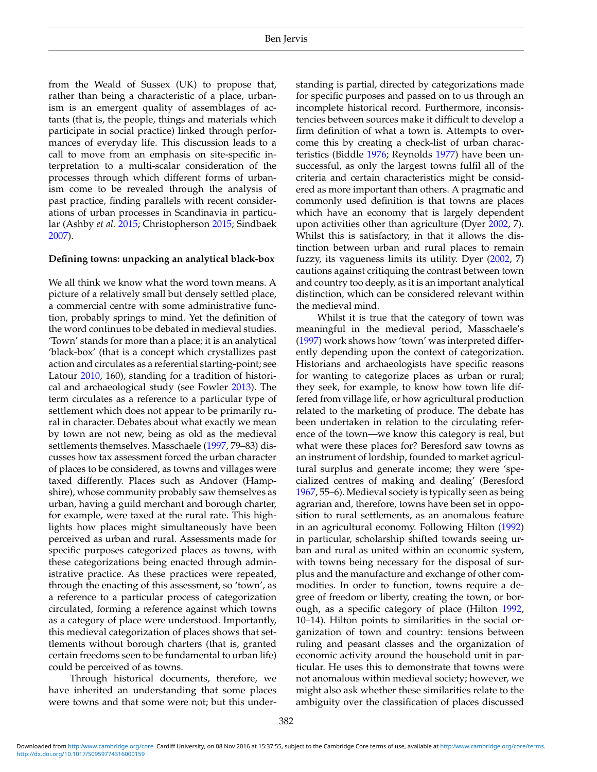from the Weald of Sussex (UK) to propose that, rather than being a characteristic of a place, urbanism is an emergent quality of assemblages of actants (that is, the people, things and materials which participate in social practice) linked through performances of everyday life. This discussion leads to a call to move from an emphasis on site-specific interpretation to a multi-scalar consideration of the processes through which different forms of urbanism come to be revealed through the analysis of past practice, finding parallels with recent considerations of urban processes in Scandinavia in particular (Ashby *et al.* [2015;](#page-12-0) Christopherson [2015;](#page-12-0) Sindbaek [2007\)](#page-13-0).

#### **Defining towns: unpacking an analytical black-box**

We all think we know what the word town means. A picture of a relatively small but densely settled place, a commercial centre with some administrative function, probably springs to mind. Yet the definition of the word continues to be debated in medieval studies. 'Town' stands for more than a place; it is an analytical 'black-box' (that is a concept which crystallizes past action and circulates as a referential starting-point; see Latour [2010,](#page-13-0) 160), standing for a tradition of historical and archaeological study (see Fowler [2013\)](#page-13-0). The term circulates as a reference to a particular type of settlement which does not appear to be primarily rural in character. Debates about what exactly we mean by town are not new, being as old as the medieval settlements themselves. Masschaele [\(1997,](#page-13-0) 79–83) discusses how tax assessment forced the urban character of places to be considered, as towns and villages were taxed differently. Places such as Andover (Hampshire), whose community probably saw themselves as urban, having a guild merchant and borough charter, for example, were taxed at the rural rate. This highlights how places might simultaneously have been perceived as urban and rural. Assessments made for specific purposes categorized places as towns, with these categorizations being enacted through administrative practice. As these practices were repeated, through the enacting of this assessment, so 'town', as a reference to a particular process of categorization circulated, forming a reference against which towns as a category of place were understood. Importantly, this medieval categorization of places shows that settlements without borough charters (that is, granted certain freedoms seen to be fundamental to urban life) could be perceived of as towns.

Through historical documents, therefore, we have inherited an understanding that some places were towns and that some were not; but this understanding is partial, directed by categorizations made for specific purposes and passed on to us through an incomplete historical record. Furthermore, inconsistencies between sources make it difficult to develop a firm definition of what a town is. Attempts to overcome this by creating a check-list of urban characteristics (Biddle [1976;](#page-12-0) Reynolds [1977\)](#page-13-0) have been unsuccessful, as only the largest towns fulfil all of the criteria and certain characteristics might be considered as more important than others. A pragmatic and commonly used definition is that towns are places which have an economy that is largely dependent upon activities other than agriculture (Dyer [2002,](#page-12-0) 7). Whilst this is satisfactory, in that it allows the distinction between urban and rural places to remain fuzzy, its vagueness limits its utility. Dyer [\(2002,](#page-12-0) 7) cautions against critiquing the contrast between town and country too deeply, as it is an important analytical distinction, which can be considered relevant within the medieval mind.

Whilst it is true that the category of town was meaningful in the medieval period, Masschaele's [\(1997\)](#page-13-0) work shows how 'town' was interpreted differently depending upon the context of categorization. Historians and archaeologists have specific reasons for wanting to categorize places as urban or rural; they seek, for example, to know how town life differed from village life, or how agricultural production related to the marketing of produce. The debate has been undertaken in relation to the circulating reference of the town—we know this category is real, but what were these places for? Beresford saw towns as an instrument of lordship, founded to market agricultural surplus and generate income; they were 'specialized centres of making and dealing' (Beresford [1967,](#page-12-0) 55–6). Medieval society is typically seen as being agrarian and, therefore, towns have been set in opposition to rural settlements, as an anomalous feature in an agricultural economy. Following Hilton [\(1992\)](#page-13-0) in particular, scholarship shifted towards seeing urban and rural as united within an economic system, with towns being necessary for the disposal of surplus and the manufacture and exchange of other commodities. In order to function, towns require a degree of freedom or liberty, creating the town, or borough, as a specific category of place (Hilton [1992,](#page-13-0) 10–14). Hilton points to similarities in the social organization of town and country: tensions between ruling and peasant classes and the organization of economic activity around the household unit in particular. He uses this to demonstrate that towns were not anomalous within medieval society; however, we might also ask whether these similarities relate to the ambiguity over the classification of places discussed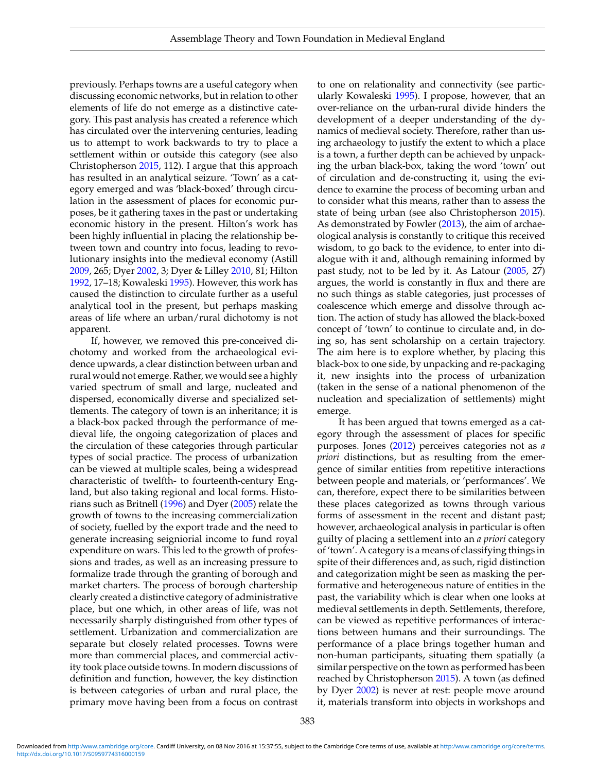previously. Perhaps towns are a useful category when discussing economic networks, but in relation to other elements of life do not emerge as a distinctive category. This past analysis has created a reference which has circulated over the intervening centuries, leading us to attempt to work backwards to try to place a settlement within or outside this category (see also Christopherson [2015,](#page-12-0) 112). I argue that this approach has resulted in an analytical seizure. 'Town' as a category emerged and was 'black-boxed' through circulation in the assessment of places for economic purposes, be it gathering taxes in the past or undertaking economic history in the present. Hilton's work has been highly influential in placing the relationship between town and country into focus, leading to revolutionary insights into the medieval economy (Astill [2009,](#page-12-0) 265; Dyer [2002,](#page-12-0) 3; Dyer & Lilley [2010,](#page-12-0) 81; Hilton [1992,](#page-13-0) 17–18; Kowaleski [1995\)](#page-13-0). However, this work has caused the distinction to circulate further as a useful analytical tool in the present, but perhaps masking areas of life where an urban/rural dichotomy is not apparent.

If, however, we removed this pre-conceived dichotomy and worked from the archaeological evidence upwards, a clear distinction between urban and rural would not emerge. Rather, we would see a highly varied spectrum of small and large, nucleated and dispersed, economically diverse and specialized settlements. The category of town is an inheritance; it is a black-box packed through the performance of medieval life, the ongoing categorization of places and the circulation of these categories through particular types of social practice. The process of urbanization can be viewed at multiple scales, being a widespread characteristic of twelfth- to fourteenth-century England, but also taking regional and local forms. Historians such as Britnell [\(1996\)](#page-12-0) and Dyer [\(2005\)](#page-12-0) relate the growth of towns to the increasing commercialization of society, fuelled by the export trade and the need to generate increasing seigniorial income to fund royal expenditure on wars. This led to the growth of professions and trades, as well as an increasing pressure to formalize trade through the granting of borough and market charters. The process of borough chartership clearly created a distinctive category of administrative place, but one which, in other areas of life, was not necessarily sharply distinguished from other types of settlement. Urbanization and commercialization are separate but closely related processes. Towns were more than commercial places, and commercial activity took place outside towns. In modern discussions of definition and function, however, the key distinction is between categories of urban and rural place, the primary move having been from a focus on contrast

to one on relationality and connectivity (see particularly Kowaleski [1995\)](#page-13-0). I propose, however, that an over-reliance on the urban-rural divide hinders the development of a deeper understanding of the dynamics of medieval society. Therefore, rather than using archaeology to justify the extent to which a place is a town, a further depth can be achieved by unpacking the urban black-box, taking the word 'town' out of circulation and de-constructing it, using the evidence to examine the process of becoming urban and to consider what this means, rather than to assess the state of being urban (see also Christopherson [2015\)](#page-12-0). As demonstrated by Fowler [\(2013\)](#page-13-0), the aim of archaeological analysis is constantly to critique this received wisdom, to go back to the evidence, to enter into dialogue with it and, although remaining informed by past study, not to be led by it. As Latour [\(2005,](#page-13-0) 27) argues, the world is constantly in flux and there are no such things as stable categories, just processes of coalescence which emerge and dissolve through action. The action of study has allowed the black-boxed concept of 'town' to continue to circulate and, in doing so, has sent scholarship on a certain trajectory. The aim here is to explore whether, by placing this black-box to one side, by unpacking and re-packaging it, new insights into the process of urbanization (taken in the sense of a national phenomenon of the nucleation and specialization of settlements) might emerge.

It has been argued that towns emerged as a category through the assessment of places for specific purposes. Jones [\(2012\)](#page-13-0) perceives categories not as *a priori* distinctions, but as resulting from the emergence of similar entities from repetitive interactions between people and materials, or 'performances'. We can, therefore, expect there to be similarities between these places categorized as towns through various forms of assessment in the recent and distant past; however, archaeological analysis in particular is often guilty of placing a settlement into an *a priori* category of 'town'. A category is a means of classifying things in spite of their differences and, as such, rigid distinction and categorization might be seen as masking the performative and heterogeneous nature of entities in the past, the variability which is clear when one looks at medieval settlements in depth. Settlements, therefore, can be viewed as repetitive performances of interactions between humans and their surroundings. The performance of a place brings together human and non-human participants, situating them spatially (a similar perspective on the town as performed has been reached by Christopherson [2015\)](#page-12-0). A town (as defined by Dyer [2002\)](#page-12-0) is never at rest: people move around it, materials transform into objects in workshops and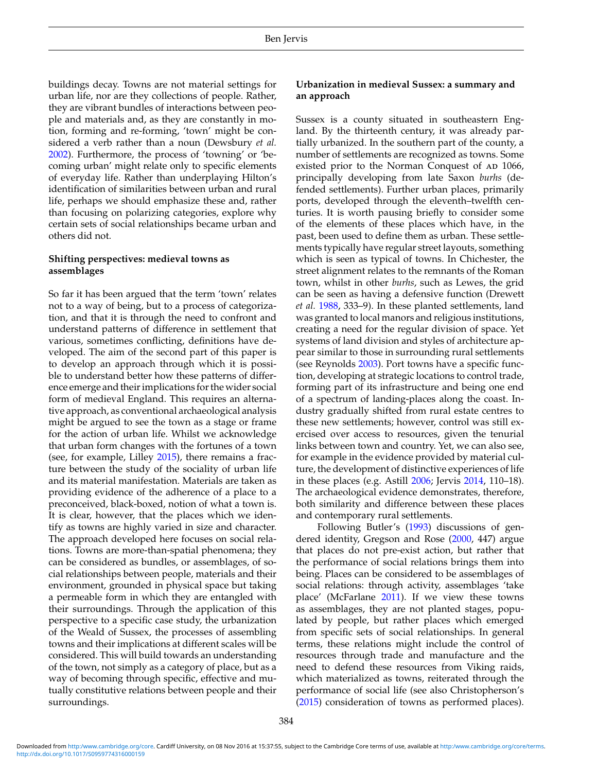buildings decay. Towns are not material settings for urban life, nor are they collections of people. Rather, they are vibrant bundles of interactions between people and materials and, as they are constantly in motion, forming and re-forming, 'town' might be considered a verb rather than a noun (Dewsbury *et al.* [2002\)](#page-12-0). Furthermore, the process of 'towning' or 'becoming urban' might relate only to specific elements of everyday life. Rather than underplaying Hilton's identification of similarities between urban and rural life, perhaps we should emphasize these and, rather than focusing on polarizing categories, explore why certain sets of social relationships became urban and others did not.

# **Shifting perspectives: medieval towns as assemblages**

So far it has been argued that the term 'town' relates not to a way of being, but to a process of categorization, and that it is through the need to confront and understand patterns of difference in settlement that various, sometimes conflicting, definitions have developed. The aim of the second part of this paper is to develop an approach through which it is possible to understand better how these patterns of difference emerge and their implications for the wider social form of medieval England. This requires an alternative approach, as conventional archaeological analysis might be argued to see the town as a stage or frame for the action of urban life. Whilst we acknowledge that urban form changes with the fortunes of a town (see, for example, Lilley  $2015$ ), there remains a fracture between the study of the sociality of urban life and its material manifestation. Materials are taken as providing evidence of the adherence of a place to a preconceived, black-boxed, notion of what a town is. It is clear, however, that the places which we identify as towns are highly varied in size and character. The approach developed here focuses on social relations. Towns are more-than-spatial phenomena; they can be considered as bundles, or assemblages, of social relationships between people, materials and their environment, grounded in physical space but taking a permeable form in which they are entangled with their surroundings. Through the application of this perspective to a specific case study, the urbanization of the Weald of Sussex, the processes of assembling towns and their implications at different scales will be considered. This will build towards an understanding of the town, not simply as a category of place, but as a way of becoming through specific, effective and mutually constitutive relations between people and their surroundings.

# **Urbanization in medieval Sussex: a summary and an approach**

Sussex is a county situated in southeastern England. By the thirteenth century, it was already partially urbanized. In the southern part of the county, a number of settlements are recognized as towns. Some existed prior to the Norman Conquest of AD 1066, principally developing from late Saxon *burhs* (defended settlements). Further urban places, primarily ports, developed through the eleventh–twelfth centuries. It is worth pausing briefly to consider some of the elements of these places which have, in the past, been used to define them as urban. These settlements typically have regular street layouts, something which is seen as typical of towns. In Chichester, the street alignment relates to the remnants of the Roman town, whilst in other *burhs*, such as Lewes, the grid can be seen as having a defensive function (Drewett *et al.* [1988,](#page-12-0) 333–9). In these planted settlements, land was granted to local manors and religious institutions, creating a need for the regular division of space. Yet systems of land division and styles of architecture appear similar to those in surrounding rural settlements (see Reynolds [2003\)](#page-13-0). Port towns have a specific function, developing at strategic locations to control trade, forming part of its infrastructure and being one end of a spectrum of landing-places along the coast. Industry gradually shifted from rural estate centres to these new settlements; however, control was still exercised over access to resources, given the tenurial links between town and country. Yet, we can also see, for example in the evidence provided by material culture, the development of distinctive experiences of life in these places (e.g. Astill [2006;](#page-12-0) Jervis [2014,](#page-13-0) 110–18). The archaeological evidence demonstrates, therefore, both similarity and difference between these places and contemporary rural settlements.

Following Butler's [\(1993\)](#page-12-0) discussions of gendered identity, Gregson and Rose [\(2000,](#page-13-0) 447) argue that places do not pre-exist action, but rather that the performance of social relations brings them into being. Places can be considered to be assemblages of social relations: through activity, assemblages 'take place' (McFarlane [2011\)](#page-13-0). If we view these towns as assemblages, they are not planted stages, populated by people, but rather places which emerged from specific sets of social relationships. In general terms, these relations might include the control of resources through trade and manufacture and the need to defend these resources from Viking raids, which materialized as towns, reiterated through the performance of social life (see also Christopherson's [\(2015\)](#page-12-0) consideration of towns as performed places).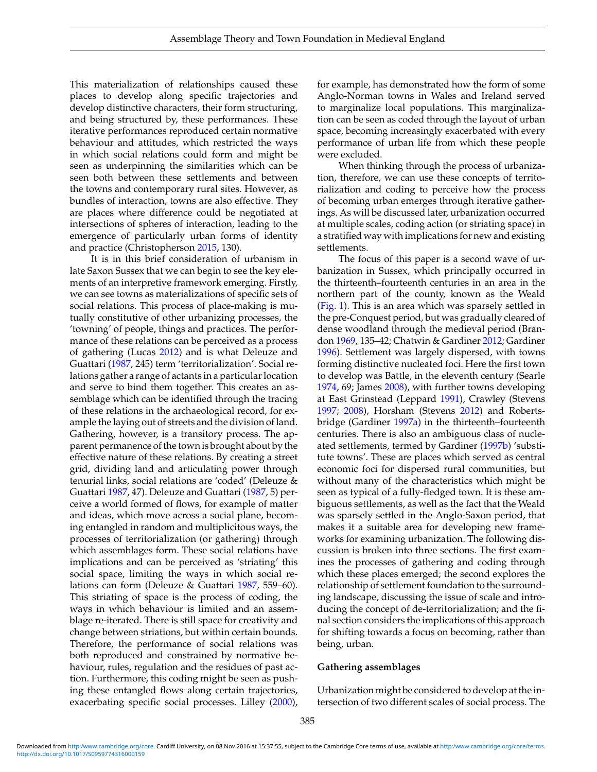This materialization of relationships caused these places to develop along specific trajectories and develop distinctive characters, their form structuring, and being structured by, these performances. These iterative performances reproduced certain normative behaviour and attitudes, which restricted the ways in which social relations could form and might be seen as underpinning the similarities which can be seen both between these settlements and between the towns and contemporary rural sites. However, as bundles of interaction, towns are also effective. They are places where difference could be negotiated at intersections of spheres of interaction, leading to the emergence of particularly urban forms of identity and practice (Christopherson [2015,](#page-12-0) 130).

It is in this brief consideration of urbanism in late Saxon Sussex that we can begin to see the key elements of an interpretive framework emerging. Firstly, we can see towns as materializations of specific sets of social relations. This process of place-making is mutually constitutive of other urbanizing processes, the 'towning' of people, things and practices. The performance of these relations can be perceived as a process of gathering (Lucas [2012\)](#page-13-0) and is what Deleuze and Guattari [\(1987,](#page-12-0) 245) term 'territorialization'. Social relations gather a range of actants in a particular location and serve to bind them together. This creates an assemblage which can be identified through the tracing of these relations in the archaeological record, for example the laying out of streets and the division of land. Gathering, however, is a transitory process. The apparent permanence of the town is brought about by the effective nature of these relations. By creating a street grid, dividing land and articulating power through tenurial links, social relations are 'coded' (Deleuze & Guattari [1987,](#page-12-0) 47). Deleuze and Guattari [\(1987,](#page-12-0) 5) perceive a world formed of flows, for example of matter and ideas, which move across a social plane, becoming entangled in random and multiplicitous ways, the processes of territorialization (or gathering) through which assemblages form. These social relations have implications and can be perceived as 'striating' this social space, limiting the ways in which social relations can form (Deleuze & Guattari [1987,](#page-12-0) 559–60). This striating of space is the process of coding, the ways in which behaviour is limited and an assemblage re-iterated. There is still space for creativity and change between striations, but within certain bounds. Therefore, the performance of social relations was both reproduced and constrained by normative behaviour, rules, regulation and the residues of past action. Furthermore, this coding might be seen as pushing these entangled flows along certain trajectories, exacerbating specific social processes. Lilley [\(2000\)](#page-13-0),

for example, has demonstrated how the form of some Anglo-Norman towns in Wales and Ireland served to marginalize local populations. This marginalization can be seen as coded through the layout of urban space, becoming increasingly exacerbated with every performance of urban life from which these people were excluded.

When thinking through the process of urbanization, therefore, we can use these concepts of territorialization and coding to perceive how the process of becoming urban emerges through iterative gatherings. As will be discussed later, urbanization occurred at multiple scales, coding action (or striating space) in a stratified way with implications for new and existing settlements.

The focus of this paper is a second wave of urbanization in Sussex, which principally occurred in the thirteenth–fourteenth centuries in an area in the northern part of the county, known as the Weald [\(Fig. 1\)](#page-5-0). This is an area which was sparsely settled in the pre-Conquest period, but was gradually cleared of dense woodland through the medieval period (Brandon [1969,](#page-12-0) 135–42; Chatwin & Gardiner [2012;](#page-12-0) Gardiner [1996\)](#page-13-0). Settlement was largely dispersed, with towns forming distinctive nucleated foci. Here the first town to develop was Battle, in the eleventh century (Searle [1974,](#page-13-0) 69; James [2008\)](#page-13-0), with further towns developing at East Grinstead (Leppard [1991\)](#page-13-0), Crawley (Stevens [1997;](#page-14-0) [2008\)](#page-14-0), Horsham (Stevens [2012\)](#page-14-0) and Robertsbridge (Gardiner [1997a\)](#page-13-0) in the thirteenth–fourteenth centuries. There is also an ambiguous class of nucleated settlements, termed by Gardiner [\(1997b\)](#page-13-0) 'substitute towns'. These are places which served as central economic foci for dispersed rural communities, but without many of the characteristics which might be seen as typical of a fully-fledged town. It is these ambiguous settlements, as well as the fact that the Weald was sparsely settled in the Anglo-Saxon period, that makes it a suitable area for developing new frameworks for examining urbanization. The following discussion is broken into three sections. The first examines the processes of gathering and coding through which these places emerged; the second explores the relationship of settlement foundation to the surrounding landscape, discussing the issue of scale and introducing the concept of de-territorialization; and the final section considers the implications of this approach for shifting towards a focus on becoming, rather than being, urban.

#### **Gathering assemblages**

Urbanization might be considered to develop at the intersection of two different scales of social process. The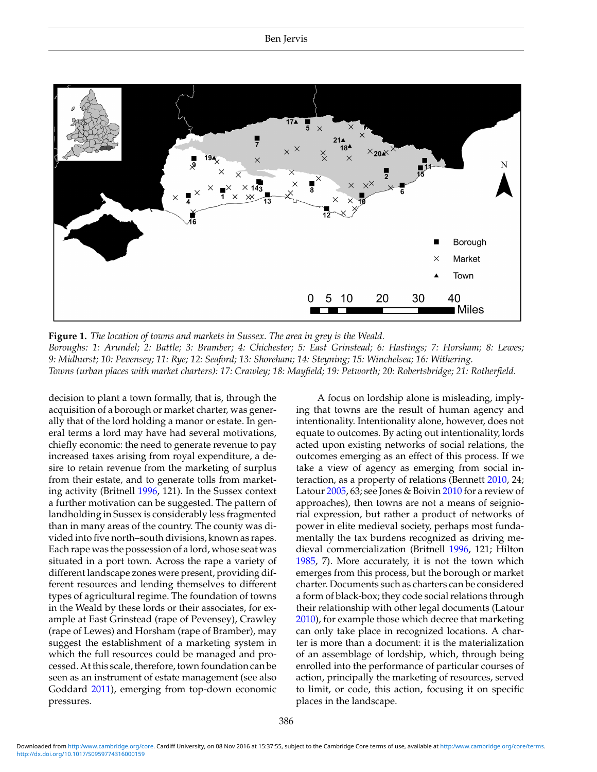<span id="page-5-0"></span>

**Figure 1.** *The location of towns and markets in Sussex. The area in grey is the Weald. Boroughs: 1: Arundel; 2: Battle; 3: Bramber; 4: Chichester; 5: East Grinstead; 6: Hastings; 7: Horsham; 8: Lewes; 9: Midhurst; 10: Pevensey; 11: Rye; 12: Seaford; 13: Shoreham; 14: Steyning; 15: Winchelsea; 16: Withering. Towns (urban places with market charters): 17: Crawley; 18: Mayfield; 19: Petworth; 20: Robertsbridge; 21: Rotherfield.*

decision to plant a town formally, that is, through the acquisition of a borough or market charter, was generally that of the lord holding a manor or estate. In general terms a lord may have had several motivations, chiefly economic: the need to generate revenue to pay increased taxes arising from royal expenditure, a desire to retain revenue from the marketing of surplus from their estate, and to generate tolls from marketing activity (Britnell [1996,](#page-12-0) 121). In the Sussex context a further motivation can be suggested. The pattern of landholding in Sussex is considerably less fragmented than in many areas of the country. The county was divided into five north–south divisions, known as rapes. Each rape was the possession of a lord, whose seat was situated in a port town. Across the rape a variety of different landscape zones were present, providing different resources and lending themselves to different types of agricultural regime. The foundation of towns in the Weald by these lords or their associates, for example at East Grinstead (rape of Pevensey), Crawley (rape of Lewes) and Horsham (rape of Bramber), may suggest the establishment of a marketing system in which the full resources could be managed and processed. At this scale, therefore, town foundation can be seen as an instrument of estate management (see also Goddard [2011\)](#page-13-0), emerging from top-down economic pressures.

A focus on lordship alone is misleading, implying that towns are the result of human agency and intentionality. Intentionality alone, however, does not equate to outcomes. By acting out intentionality, lords acted upon existing networks of social relations, the outcomes emerging as an effect of this process. If we take a view of agency as emerging from social interaction, as a property of relations (Bennett [2010,](#page-12-0) 24; Latour [2005,](#page-13-0) 63; see Jones & Boivin [2010](#page-13-0) for a review of approaches), then towns are not a means of seigniorial expression, but rather a product of networks of power in elite medieval society, perhaps most fundamentally the tax burdens recognized as driving medieval commercialization (Britnell [1996,](#page-12-0) 121; Hilton [1985,](#page-13-0) 7). More accurately, it is not the town which emerges from this process, but the borough or market charter. Documents such as charters can be considered a form of black-box; they code social relations through their relationship with other legal documents (Latour [2010\)](#page-13-0), for example those which decree that marketing can only take place in recognized locations. A charter is more than a document: it is the materialization of an assemblage of lordship, which, through being enrolled into the performance of particular courses of action, principally the marketing of resources, served to limit, or code, this action, focusing it on specific places in the landscape.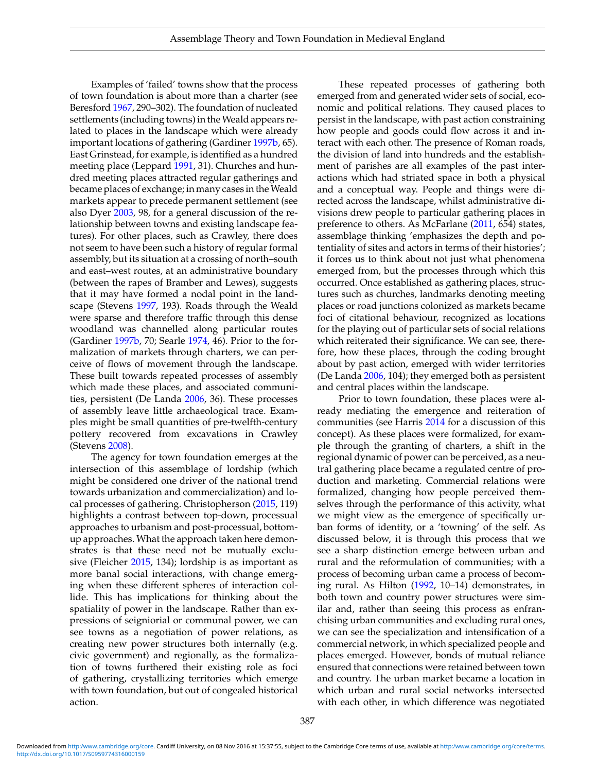Examples of 'failed' towns show that the process of town foundation is about more than a charter (see Beresford [1967,](#page-12-0) 290–302). The foundation of nucleated settlements (including towns) in theWeald appears related to places in the landscape which were already important locations of gathering (Gardiner [1997b,](#page-13-0) 65). East Grinstead, for example, is identified as a hundred meeting place (Leppard [1991,](#page-13-0) 31). Churches and hundred meeting places attracted regular gatherings and became places of exchange; in many cases in theWeald markets appear to precede permanent settlement (see also Dyer [2003,](#page-12-0) 98, for a general discussion of the relationship between towns and existing landscape features). For other places, such as Crawley, there does not seem to have been such a history of regular formal assembly, but its situation at a crossing of north–south and east–west routes, at an administrative boundary (between the rapes of Bramber and Lewes), suggests that it may have formed a nodal point in the landscape (Stevens [1997,](#page-14-0) 193). Roads through the Weald were sparse and therefore traffic through this dense woodland was channelled along particular routes (Gardiner [1997b,](#page-13-0) 70; Searle [1974,](#page-13-0) 46). Prior to the formalization of markets through charters, we can perceive of flows of movement through the landscape. These built towards repeated processes of assembly which made these places, and associated communities, persistent (De Landa [2006,](#page-12-0) 36). These processes of assembly leave little archaeological trace. Examples might be small quantities of pre-twelfth-century pottery recovered from excavations in Crawley (Stevens [2008\)](#page-14-0).

The agency for town foundation emerges at the intersection of this assemblage of lordship (which might be considered one driver of the national trend towards urbanization and commercialization) and local processes of gathering. Christopherson [\(2015,](#page-12-0) 119) highlights a contrast between top-down, processual approaches to urbanism and post-processual, bottomup approaches. What the approach taken here demonstrates is that these need not be mutually exclusive (Fleicher [2015,](#page-13-0) 134); lordship is as important as more banal social interactions, with change emerging when these different spheres of interaction collide. This has implications for thinking about the spatiality of power in the landscape. Rather than expressions of seigniorial or communal power, we can see towns as a negotiation of power relations, as creating new power structures both internally (e.g. civic government) and regionally, as the formalization of towns furthered their existing role as foci of gathering, crystallizing territories which emerge with town foundation, but out of congealed historical action.

These repeated processes of gathering both emerged from and generated wider sets of social, economic and political relations. They caused places to persist in the landscape, with past action constraining how people and goods could flow across it and interact with each other. The presence of Roman roads, the division of land into hundreds and the establishment of parishes are all examples of the past interactions which had striated space in both a physical and a conceptual way. People and things were directed across the landscape, whilst administrative divisions drew people to particular gathering places in preference to others. As McFarlane [\(2011,](#page-13-0) 654) states, assemblage thinking 'emphasizes the depth and potentiality of sites and actors in terms of their histories'; it forces us to think about not just what phenomena emerged from, but the processes through which this occurred. Once established as gathering places, structures such as churches, landmarks denoting meeting places or road junctions colonized as markets became foci of citational behaviour, recognized as locations for the playing out of particular sets of social relations which reiterated their significance. We can see, therefore, how these places, through the coding brought about by past action, emerged with wider territories (De Landa [2006,](#page-12-0) 104); they emerged both as persistent and central places within the landscape.

Prior to town foundation, these places were already mediating the emergence and reiteration of communities (see Harris [2014](#page-13-0) for a discussion of this concept). As these places were formalized, for example through the granting of charters, a shift in the regional dynamic of power can be perceived, as a neutral gathering place became a regulated centre of production and marketing. Commercial relations were formalized, changing how people perceived themselves through the performance of this activity, what we might view as the emergence of specifically urban forms of identity, or a 'towning' of the self. As discussed below, it is through this process that we see a sharp distinction emerge between urban and rural and the reformulation of communities; with a process of becoming urban came a process of becoming rural. As Hilton [\(1992,](#page-13-0) 10–14) demonstrates, in both town and country power structures were similar and, rather than seeing this process as enfranchising urban communities and excluding rural ones, we can see the specialization and intensification of a commercial network, in which specialized people and places emerged. However, bonds of mutual reliance ensured that connections were retained between town and country. The urban market became a location in which urban and rural social networks intersected with each other, in which difference was negotiated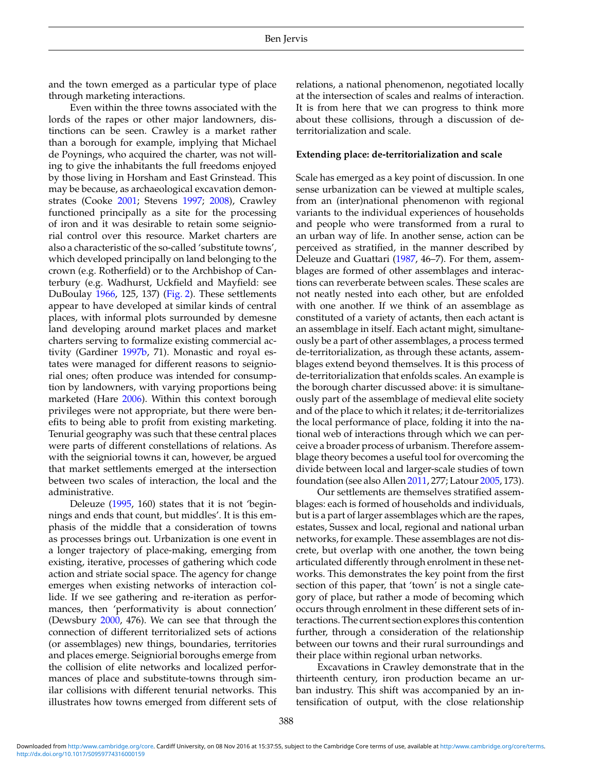and the town emerged as a particular type of place through marketing interactions.

Even within the three towns associated with the lords of the rapes or other major landowners, distinctions can be seen. Crawley is a market rather than a borough for example, implying that Michael de Poynings, who acquired the charter, was not willing to give the inhabitants the full freedoms enjoyed by those living in Horsham and East Grinstead. This may be because, as archaeological excavation demonstrates (Cooke [2001;](#page-12-0) Stevens [1997;](#page-14-0) [2008\)](#page-14-0), Crawley functioned principally as a site for the processing of iron and it was desirable to retain some seigniorial control over this resource. Market charters are also a characteristic of the so-called 'substitute towns', which developed principally on land belonging to the crown (e.g. Rotherfield) or to the Archbishop of Canterbury (e.g. Wadhurst, Uckfield and Mayfield: see DuBoulay [1966,](#page-12-0) 125, 137) [\(Fig. 2\)](#page-8-0). These settlements appear to have developed at similar kinds of central places, with informal plots surrounded by demesne land developing around market places and market charters serving to formalize existing commercial activity (Gardiner [1997b,](#page-13-0) 71). Monastic and royal estates were managed for different reasons to seigniorial ones; often produce was intended for consumption by landowners, with varying proportions being marketed (Hare [2006\)](#page-13-0). Within this context borough privileges were not appropriate, but there were benefits to being able to profit from existing marketing. Tenurial geography was such that these central places were parts of different constellations of relations. As with the seigniorial towns it can, however, be argued that market settlements emerged at the intersection between two scales of interaction, the local and the administrative.

Deleuze [\(1995,](#page-12-0) 160) states that it is not 'beginnings and ends that count, but middles'. It is this emphasis of the middle that a consideration of towns as processes brings out. Urbanization is one event in a longer trajectory of place-making, emerging from existing, iterative, processes of gathering which code action and striate social space. The agency for change emerges when existing networks of interaction collide. If we see gathering and re-iteration as performances, then 'performativity is about connection' (Dewsbury [2000,](#page-12-0) 476). We can see that through the connection of different territorialized sets of actions (or assemblages) new things, boundaries, territories and places emerge. Seigniorial boroughs emerge from the collision of elite networks and localized performances of place and substitute-towns through similar collisions with different tenurial networks. This illustrates how towns emerged from different sets of relations, a national phenomenon, negotiated locally at the intersection of scales and realms of interaction. It is from here that we can progress to think more about these collisions, through a discussion of deterritorialization and scale.

## **Extending place: de-territorialization and scale**

Scale has emerged as a key point of discussion. In one sense urbanization can be viewed at multiple scales, from an (inter)national phenomenon with regional variants to the individual experiences of households and people who were transformed from a rural to an urban way of life. In another sense, action can be perceived as stratified, in the manner described by Deleuze and Guattari [\(1987,](#page-12-0) 46–7). For them, assemblages are formed of other assemblages and interactions can reverberate between scales. These scales are not neatly nested into each other, but are enfolded with one another. If we think of an assemblage as constituted of a variety of actants, then each actant is an assemblage in itself. Each actant might, simultaneously be a part of other assemblages, a process termed de-territorialization, as through these actants, assemblages extend beyond themselves. It is this process of de-territorialization that enfolds scales. An example is the borough charter discussed above: it is simultaneously part of the assemblage of medieval elite society and of the place to which it relates; it de-territorializes the local performance of place, folding it into the national web of interactions through which we can perceive a broader process of urbanism. Therefore assemblage theory becomes a useful tool for overcoming the divide between local and larger-scale studies of town foundation (see also Allen [2011,](#page-12-0) 277; Latour [2005,](#page-13-0) 173).

Our settlements are themselves stratified assemblages: each is formed of households and individuals, but is a part of larger assemblages which are the rapes, estates, Sussex and local, regional and national urban networks, for example. These assemblages are not discrete, but overlap with one another, the town being articulated differently through enrolment in these networks. This demonstrates the key point from the first section of this paper, that 'town' is not a single category of place, but rather a mode of becoming which occurs through enrolment in these different sets of interactions. The current section explores this contention further, through a consideration of the relationship between our towns and their rural surroundings and their place within regional urban networks.

Excavations in Crawley demonstrate that in the thirteenth century, iron production became an urban industry. This shift was accompanied by an intensification of output, with the close relationship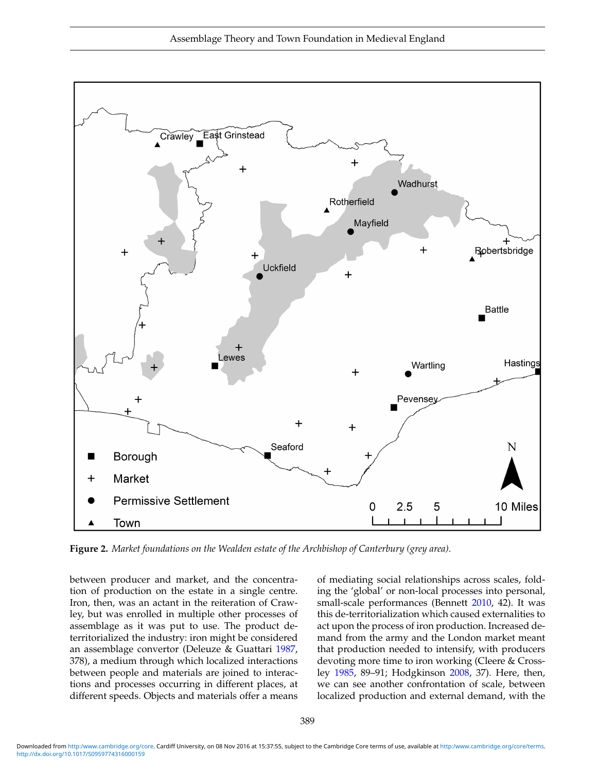<span id="page-8-0"></span>

**Figure 2.** *Market foundations on the Wealden estate of the Archbishop of Canterbury (grey area).*

between producer and market, and the concentration of production on the estate in a single centre. Iron, then, was an actant in the reiteration of Crawley, but was enrolled in multiple other processes of assemblage as it was put to use. The product deterritorialized the industry: iron might be considered an assemblage convertor (Deleuze & Guattari [1987,](#page-12-0) 378), a medium through which localized interactions between people and materials are joined to interactions and processes occurring in different places, at different speeds. Objects and materials offer a means

of mediating social relationships across scales, folding the 'global' or non-local processes into personal, small-scale performances (Bennett [2010,](#page-12-0) 42). It was this de-territorialization which caused externalities to act upon the process of iron production. Increased demand from the army and the London market meant that production needed to intensify, with producers devoting more time to iron working (Cleere & Crossley [1985,](#page-12-0) 89–91; Hodgkinson [2008,](#page-13-0) 37). Here, then, we can see another confrontation of scale, between localized production and external demand, with the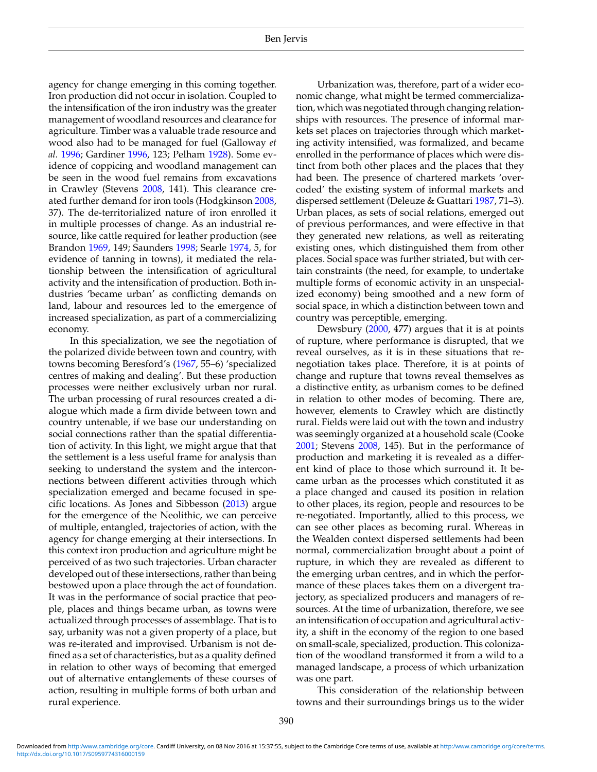agency for change emerging in this coming together. Iron production did not occur in isolation. Coupled to the intensification of the iron industry was the greater management of woodland resources and clearance for agriculture. Timber was a valuable trade resource and wood also had to be managed for fuel (Galloway *et al.* [1996;](#page-13-0) Gardiner [1996,](#page-13-0) 123; Pelham [1928\)](#page-13-0). Some evidence of coppicing and woodland management can be seen in the wood fuel remains from excavations in Crawley (Stevens [2008,](#page-14-0) 141). This clearance created further demand for iron tools (Hodgkinson [2008,](#page-13-0) 37). The de-territorialized nature of iron enrolled it in multiple processes of change. As an industrial resource, like cattle required for leather production (see Brandon [1969,](#page-12-0) 149; Saunders [1998;](#page-13-0) Searle [1974,](#page-13-0) 5, for evidence of tanning in towns), it mediated the relationship between the intensification of agricultural activity and the intensification of production. Both industries 'became urban' as conflicting demands on land, labour and resources led to the emergence of increased specialization, as part of a commercializing economy.

In this specialization, we see the negotiation of the polarized divide between town and country, with towns becoming Beresford's [\(1967,](#page-12-0) 55–6) 'specialized centres of making and dealing'. But these production processes were neither exclusively urban nor rural. The urban processing of rural resources created a dialogue which made a firm divide between town and country untenable, if we base our understanding on social connections rather than the spatial differentiation of activity. In this light, we might argue that that the settlement is a less useful frame for analysis than seeking to understand the system and the interconnections between different activities through which specialization emerged and became focused in specific locations. As Jones and Sibbesson [\(2013\)](#page-13-0) argue for the emergence of the Neolithic, we can perceive of multiple, entangled, trajectories of action, with the agency for change emerging at their intersections. In this context iron production and agriculture might be perceived of as two such trajectories. Urban character developed out of these intersections, rather than being bestowed upon a place through the act of foundation. It was in the performance of social practice that people, places and things became urban, as towns were actualized through processes of assemblage. That is to say, urbanity was not a given property of a place, but was re-iterated and improvised. Urbanism is not defined as a set of characteristics, but as a quality defined in relation to other ways of becoming that emerged out of alternative entanglements of these courses of action, resulting in multiple forms of both urban and rural experience.

Urbanization was, therefore, part of a wider economic change, what might be termed commercialization, which was negotiated through changing relationships with resources. The presence of informal markets set places on trajectories through which marketing activity intensified, was formalized, and became enrolled in the performance of places which were distinct from both other places and the places that they had been. The presence of chartered markets 'overcoded' the existing system of informal markets and dispersed settlement (Deleuze & Guattari [1987,](#page-12-0) 71–3). Urban places, as sets of social relations, emerged out of previous performances, and were effective in that they generated new relations, as well as reiterating existing ones, which distinguished them from other places. Social space was further striated, but with certain constraints (the need, for example, to undertake multiple forms of economic activity in an unspecialized economy) being smoothed and a new form of social space, in which a distinction between town and country was perceptible, emerging.

Dewsbury [\(2000,](#page-12-0) 477) argues that it is at points of rupture, where performance is disrupted, that we reveal ourselves, as it is in these situations that renegotiation takes place. Therefore, it is at points of change and rupture that towns reveal themselves as a distinctive entity, as urbanism comes to be defined in relation to other modes of becoming. There are, however, elements to Crawley which are distinctly rural. Fields were laid out with the town and industry was seemingly organized at a household scale (Cooke [2001;](#page-12-0) Stevens [2008,](#page-14-0) 145). But in the performance of production and marketing it is revealed as a different kind of place to those which surround it. It became urban as the processes which constituted it as a place changed and caused its position in relation to other places, its region, people and resources to be re-negotiated. Importantly, allied to this process, we can see other places as becoming rural. Whereas in the Wealden context dispersed settlements had been normal, commercialization brought about a point of rupture, in which they are revealed as different to the emerging urban centres, and in which the performance of these places takes them on a divergent trajectory, as specialized producers and managers of resources. At the time of urbanization, therefore, we see an intensification of occupation and agricultural activity, a shift in the economy of the region to one based on small-scale, specialized, production. This colonization of the woodland transformed it from a wild to a managed landscape, a process of which urbanization was one part.

This consideration of the relationship between towns and their surroundings brings us to the wider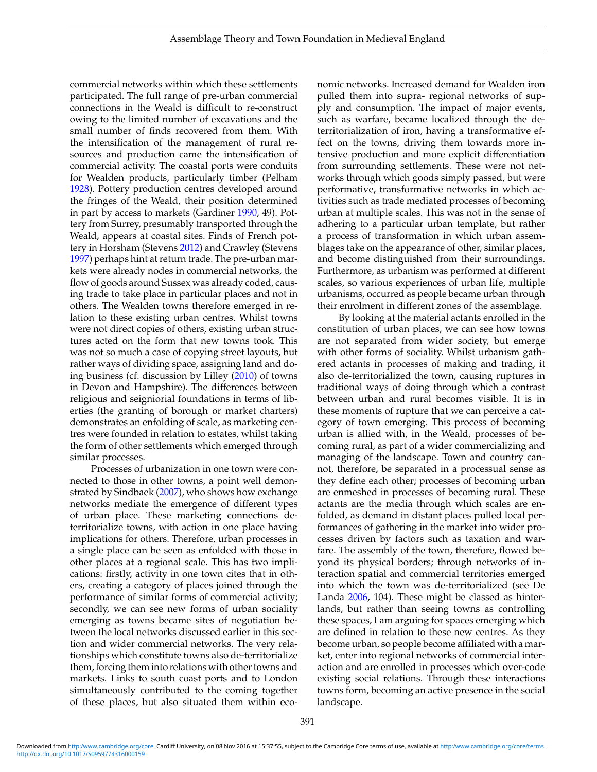commercial networks within which these settlements participated. The full range of pre-urban commercial connections in the Weald is difficult to re-construct owing to the limited number of excavations and the small number of finds recovered from them. With the intensification of the management of rural resources and production came the intensification of commercial activity. The coastal ports were conduits for Wealden products, particularly timber (Pelham [1928\)](#page-13-0). Pottery production centres developed around the fringes of the Weald, their position determined in part by access to markets (Gardiner [1990,](#page-13-0) 49). Pottery from Surrey, presumably transported through the Weald, appears at coastal sites. Finds of French pottery in Horsham (Stevens [2012\)](#page-14-0) and Crawley (Stevens [1997\)](#page-14-0) perhaps hint at return trade. The pre-urban markets were already nodes in commercial networks, the flow of goods around Sussex was already coded, causing trade to take place in particular places and not in others. The Wealden towns therefore emerged in relation to these existing urban centres. Whilst towns were not direct copies of others, existing urban structures acted on the form that new towns took. This was not so much a case of copying street layouts, but rather ways of dividing space, assigning land and doing business (cf. discussion by Lilley [\(2010\)](#page-13-0) of towns in Devon and Hampshire). The differences between religious and seigniorial foundations in terms of liberties (the granting of borough or market charters) demonstrates an enfolding of scale, as marketing centres were founded in relation to estates, whilst taking the form of other settlements which emerged through similar processes.

Processes of urbanization in one town were connected to those in other towns, a point well demon-strated by Sindbaek [\(2007\)](#page-13-0), who shows how exchange networks mediate the emergence of different types of urban place. These marketing connections deterritorialize towns, with action in one place having implications for others. Therefore, urban processes in a single place can be seen as enfolded with those in other places at a regional scale. This has two implications: firstly, activity in one town cites that in others, creating a category of places joined through the performance of similar forms of commercial activity; secondly, we can see new forms of urban sociality emerging as towns became sites of negotiation between the local networks discussed earlier in this section and wider commercial networks. The very relationships which constitute towns also de-territorialize them, forcing them into relations with other towns and markets. Links to south coast ports and to London simultaneously contributed to the coming together of these places, but also situated them within economic networks. Increased demand for Wealden iron pulled them into supra- regional networks of supply and consumption. The impact of major events, such as warfare, became localized through the deterritorialization of iron, having a transformative effect on the towns, driving them towards more intensive production and more explicit differentiation from surrounding settlements. These were not networks through which goods simply passed, but were performative, transformative networks in which activities such as trade mediated processes of becoming urban at multiple scales. This was not in the sense of adhering to a particular urban template, but rather a process of transformation in which urban assemblages take on the appearance of other, similar places, and become distinguished from their surroundings. Furthermore, as urbanism was performed at different scales, so various experiences of urban life, multiple urbanisms, occurred as people became urban through their enrolment in different zones of the assemblage.

By looking at the material actants enrolled in the constitution of urban places, we can see how towns are not separated from wider society, but emerge with other forms of sociality. Whilst urbanism gathered actants in processes of making and trading, it also de-territorialized the town, causing ruptures in traditional ways of doing through which a contrast between urban and rural becomes visible. It is in these moments of rupture that we can perceive a category of town emerging. This process of becoming urban is allied with, in the Weald, processes of becoming rural, as part of a wider commercializing and managing of the landscape. Town and country cannot, therefore, be separated in a processual sense as they define each other; processes of becoming urban are enmeshed in processes of becoming rural. These actants are the media through which scales are enfolded, as demand in distant places pulled local performances of gathering in the market into wider processes driven by factors such as taxation and warfare. The assembly of the town, therefore, flowed beyond its physical borders; through networks of interaction spatial and commercial territories emerged into which the town was de-territorialized (see De Landa [2006,](#page-12-0) 104). These might be classed as hinterlands, but rather than seeing towns as controlling these spaces, I am arguing for spaces emerging which are defined in relation to these new centres. As they become urban, so people become affiliated with a market, enter into regional networks of commercial interaction and are enrolled in processes which over-code existing social relations. Through these interactions towns form, becoming an active presence in the social landscape.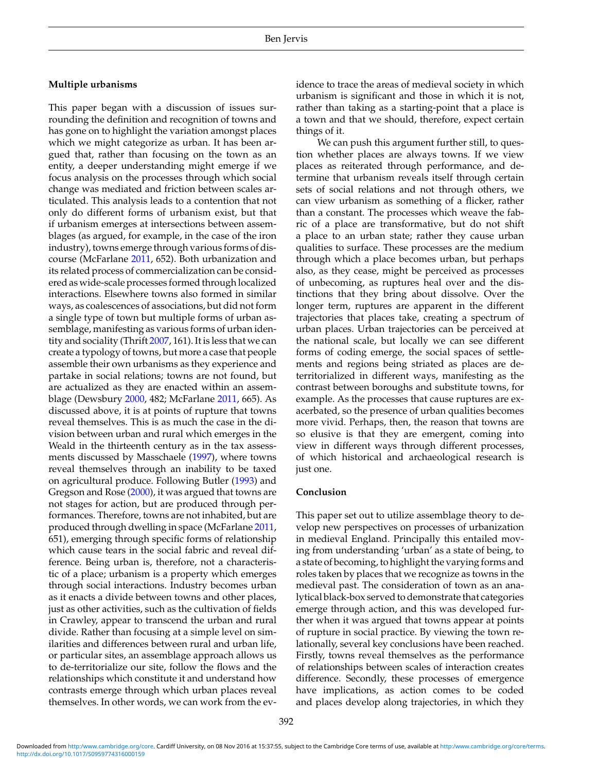# **Multiple urbanisms**

This paper began with a discussion of issues surrounding the definition and recognition of towns and has gone on to highlight the variation amongst places which we might categorize as urban. It has been argued that, rather than focusing on the town as an entity, a deeper understanding might emerge if we focus analysis on the processes through which social change was mediated and friction between scales articulated. This analysis leads to a contention that not only do different forms of urbanism exist, but that if urbanism emerges at intersections between assemblages (as argued, for example, in the case of the iron industry), towns emerge through various forms of discourse (McFarlane [2011,](#page-13-0) 652). Both urbanization and its related process of commercialization can be considered as wide-scale processes formed through localized interactions. Elsewhere towns also formed in similar ways, as coalescences of associations, but did not form a single type of town but multiple forms of urban assemblage, manifesting as various forms of urban identity and sociality (Thrift [2007,](#page-14-0) 161). It is less that we can create a typology of towns, but more a case that people assemble their own urbanisms as they experience and partake in social relations; towns are not found, but are actualized as they are enacted within an assemblage (Dewsbury [2000,](#page-12-0) 482; McFarlane [2011,](#page-13-0) 665). As discussed above, it is at points of rupture that towns reveal themselves. This is as much the case in the division between urban and rural which emerges in the Weald in the thirteenth century as in the tax assessments discussed by Masschaele [\(1997\)](#page-13-0), where towns reveal themselves through an inability to be taxed on agricultural produce. Following Butler [\(1993\)](#page-12-0) and Gregson and Rose [\(2000\)](#page-13-0), it was argued that towns are not stages for action, but are produced through performances. Therefore, towns are not inhabited, but are produced through dwelling in space (McFarlane [2011,](#page-13-0) 651), emerging through specific forms of relationship which cause tears in the social fabric and reveal difference. Being urban is, therefore, not a characteristic of a place; urbanism is a property which emerges through social interactions. Industry becomes urban as it enacts a divide between towns and other places, just as other activities, such as the cultivation of fields in Crawley, appear to transcend the urban and rural divide. Rather than focusing at a simple level on similarities and differences between rural and urban life, or particular sites, an assemblage approach allows us to de-territorialize our site, follow the flows and the relationships which constitute it and understand how contrasts emerge through which urban places reveal themselves. In other words, we can work from the evidence to trace the areas of medieval society in which urbanism is significant and those in which it is not, rather than taking as a starting-point that a place is a town and that we should, therefore, expect certain things of it.

We can push this argument further still, to question whether places are always towns. If we view places as reiterated through performance, and determine that urbanism reveals itself through certain sets of social relations and not through others, we can view urbanism as something of a flicker, rather than a constant. The processes which weave the fabric of a place are transformative, but do not shift a place to an urban state; rather they cause urban qualities to surface. These processes are the medium through which a place becomes urban, but perhaps also, as they cease, might be perceived as processes of unbecoming, as ruptures heal over and the distinctions that they bring about dissolve. Over the longer term, ruptures are apparent in the different trajectories that places take, creating a spectrum of urban places. Urban trajectories can be perceived at the national scale, but locally we can see different forms of coding emerge, the social spaces of settlements and regions being striated as places are deterritorialized in different ways, manifesting as the contrast between boroughs and substitute towns, for example. As the processes that cause ruptures are exacerbated, so the presence of urban qualities becomes more vivid. Perhaps, then, the reason that towns are so elusive is that they are emergent, coming into view in different ways through different processes, of which historical and archaeological research is just one.

# **Conclusion**

This paper set out to utilize assemblage theory to develop new perspectives on processes of urbanization in medieval England. Principally this entailed moving from understanding 'urban' as a state of being, to a state of becoming, to highlight the varying forms and roles taken by places that we recognize as towns in the medieval past. The consideration of town as an analytical black-box served to demonstrate that categories emerge through action, and this was developed further when it was argued that towns appear at points of rupture in social practice. By viewing the town relationally, several key conclusions have been reached. Firstly, towns reveal themselves as the performance of relationships between scales of interaction creates difference. Secondly, these processes of emergence have implications, as action comes to be coded and places develop along trajectories, in which they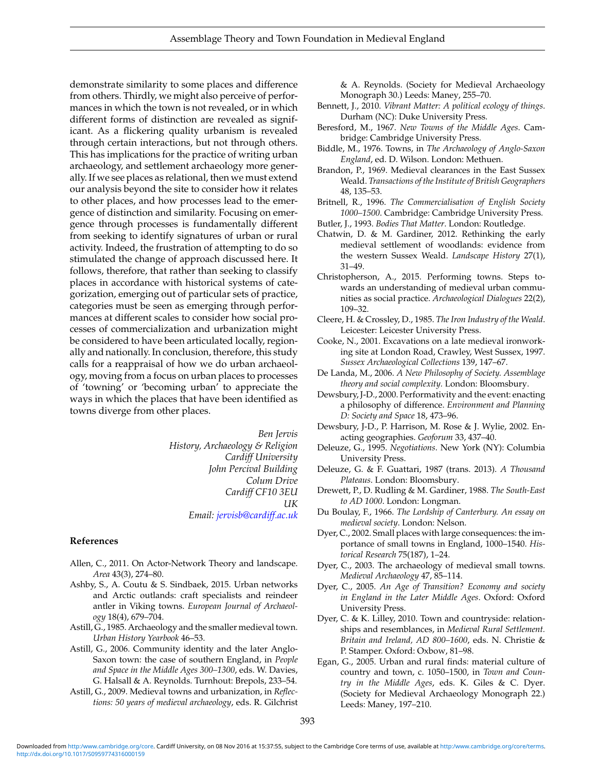<span id="page-12-0"></span>demonstrate similarity to some places and difference from others. Thirdly, we might also perceive of performances in which the town is not revealed, or in which different forms of distinction are revealed as significant. As a flickering quality urbanism is revealed through certain interactions, but not through others. This has implications for the practice of writing urban archaeology, and settlement archaeology more generally. If we see places as relational, then we must extend our analysis beyond the site to consider how it relates to other places, and how processes lead to the emergence of distinction and similarity. Focusing on emergence through processes is fundamentally different from seeking to identify signatures of urban or rural activity. Indeed, the frustration of attempting to do so stimulated the change of approach discussed here. It follows, therefore, that rather than seeking to classify places in accordance with historical systems of categorization, emerging out of particular sets of practice, categories must be seen as emerging through performances at different scales to consider how social processes of commercialization and urbanization might be considered to have been articulated locally, regionally and nationally. In conclusion, therefore, this study calls for a reappraisal of how we do urban archaeology, moving from a focus on urban places to processes of 'towning' or 'becoming urban' to appreciate the ways in which the places that have been identified as towns diverge from other places.

> *Ben Jervis History, Archaeology & Religion Cardiff University John Percival Building Colum Drive Cardiff CF10 3EU UK Email: [jervisb@cardiff.ac.uk](mailto:jervisb@cardiff.ac.uk)*

# **References**

- Allen, C., 2011. On Actor-Network Theory and landscape. *Area* 43(3), 274–80.
- Ashby, S., A. Coutu & S. Sindbaek, 2015. Urban networks and Arctic outlands: craft specialists and reindeer antler in Viking towns. *European Journal of Archaeology* 18(4), 679–704.
- Astill, G., 1985. Archaeology and the smaller medieval town. *Urban History Yearbook* 46–53.
- Astill, G., 2006. Community identity and the later Anglo-Saxon town: the case of southern England, in *People and Space in the Middle Ages 300–1300*, eds. W. Davies, G. Halsall & A. Reynolds. Turnhout: Brepols, 233–54.
- Astill, G., 2009. Medieval towns and urbanization, in *Reflections: 50 years of medieval archaeology*, eds. R. Gilchrist

& A. Reynolds. (Society for Medieval Archaeology Monograph 30.) Leeds: Maney, 255–70.

- Bennett, J., 2010. *Vibrant Matter: A political ecology of things*. Durham (NC): Duke University Press.
- Beresford, M., 1967. *New Towns of the Middle Ages*. Cambridge: Cambridge University Press.
- Biddle, M., 1976. Towns, in *The Archaeology of Anglo-Saxon England*, ed. D. Wilson. London: Methuen.
- Brandon, P., 1969. Medieval clearances in the East Sussex Weald. *Transactions of the Institute of British Geographers* 48, 135–53.
- Britnell, R., 1996. *The Commercialisation of English Society 1000–1500*. Cambridge: Cambridge University Press*.*
- Butler, J., 1993. *Bodies That Matter*. London: Routledge.
- Chatwin, D. & M. Gardiner, 2012. Rethinking the early medieval settlement of woodlands: evidence from the western Sussex Weald. *Landscape History* 27(1), 31–49.
- Christopherson, A., 2015. Performing towns. Steps towards an understanding of medieval urban communities as social practice. *Archaeological Dialogues* 22(2), 109–32.
- Cleere, H. & Crossley, D., 1985. *The Iron Industry of the Weald*. Leicester: Leicester University Press.
- Cooke, N., 2001. Excavations on a late medieval ironworking site at London Road, Crawley, West Sussex, 1997. *Sussex Archaeological Collections* 139, 147–67.
- De Landa, M., 2006. *A New Philosophy of Society. Assemblage theory and social complexity.* London: Bloomsbury.
- Dewsbury, J-D., 2000. Performativity and the event: enacting a philosophy of difference. *Environment and Planning D: Society and Space* 18, 473–96.
- Dewsbury, J-D., P. Harrison, M. Rose & J. Wylie, 2002. Enacting geographies. *Geoforum* 33, 437–40.
- Deleuze, G., 1995. *Negotiations*. New York (NY): Columbia University Press.
- Deleuze, G. & F. Guattari, 1987 (trans. 2013). *A Thousand Plateaus*. London: Bloomsbury.
- Drewett, P., D. Rudling & M. Gardiner, 1988. *The South-East to AD 1000*. London: Longman.
- Du Boulay, F., 1966. *The Lordship of Canterbury. An essay on medieval society*. London: Nelson.
- Dyer, C., 2002. Small places with large consequences: the importance of small towns in England, 1000–1540. *Historical Research* 75(187), 1–24.
- Dyer, C., 2003. The archaeology of medieval small towns. *Medieval Archaeology* 47, 85–114.
- Dyer, C., 2005. *An Age of Transition? Economy and society in England in the Later Middle Ages*. Oxford: Oxford University Press.
- Dyer, C. & K. Lilley, 2010. Town and countryside: relationships and resemblances, in *Medieval Rural Settlement. Britain and Ireland, AD 800–1600*, eds. N. Christie & P. Stamper. Oxford: Oxbow, 81–98.
- Egan, G., 2005. Urban and rural finds: material culture of country and town, c. 1050–1500, in *Town and Country in the Middle Ages*, eds. K. Giles & C. Dyer. (Society for Medieval Archaeology Monograph 22.) Leeds: Maney, 197–210.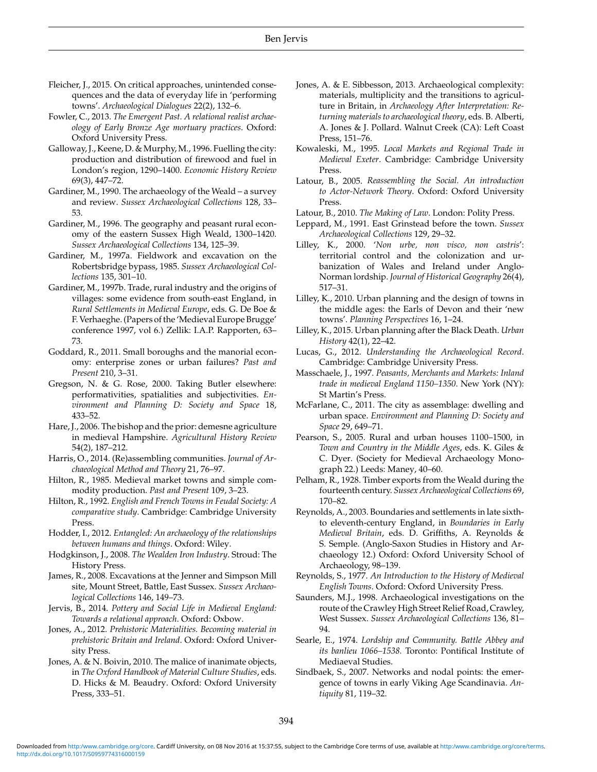- <span id="page-13-0"></span>Fleicher, J., 2015. On critical approaches, unintended consequences and the data of everyday life in 'performing towns'. *Archaeological Dialogues* 22(2), 132–6.
- Fowler, C., 2013. *The Emergent Past. A relational realist archaeology of Early Bronze Age mortuary practices*. Oxford: Oxford University Press.
- Galloway, J., Keene, D. & Murphy, M., 1996. Fuelling the city: production and distribution of firewood and fuel in London's region, 1290–1400. *Economic History Review* 69(3), 447–72.
- Gardiner, M., 1990. The archaeology of the Weald a survey and review. *Sussex Archaeological Collections* 128, 33– 53.
- Gardiner, M., 1996. The geography and peasant rural economy of the eastern Sussex High Weald, 1300–1420. *Sussex Archaeological Collections* 134, 125–39.
- Gardiner, M., 1997a. Fieldwork and excavation on the Robertsbridge bypass, 1985. *Sussex Archaeological Collections* 135, 301–10.
- Gardiner, M., 1997b. Trade, rural industry and the origins of villages: some evidence from south-east England, in *Rural Settlements in Medieval Europe*, eds. G. De Boe & F. Verhaeghe. (Papers of the 'Medieval Europe Brugge' conference 1997, vol 6.) Zellik: I.A.P. Rapporten, 63– 73.
- Goddard, R., 2011. Small boroughs and the manorial economy: enterprise zones or urban failures? *Past and Present* 210, 3–31.
- Gregson, N. & G. Rose, 2000. Taking Butler elsewhere: performativities, spatialities and subjectivities. *Environment and Planning D: Society and Space* 18, 433–52.
- Hare, J., 2006. The bishop and the prior: demesne agriculture in medieval Hampshire. *Agricultural History Review* 54(2), 187–212.
- Harris, O., 2014. (Re)assembling communities. *Journal of Archaeological Method and Theory* 21, 76–97.
- Hilton, R., 1985. Medieval market towns and simple commodity production. *Past and Present* 109, 3–23.
- Hilton, R., 1992. *English and French Towns in Feudal Society: A comparative study*. Cambridge: Cambridge University Press.
- Hodder, I., 2012. *Entangled: An archaeology of the relationships between humans and things*. Oxford: Wiley.
- Hodgkinson, J., 2008. *The Wealden Iron Industry*. Stroud: The History Press.
- James, R., 2008. Excavations at the Jenner and Simpson Mill site, Mount Street, Battle, East Sussex. *Sussex Archaeological Collections* 146, 149–73.
- Jervis, B., 2014. *Pottery and Social Life in Medieval England: Towards a relational approach*. Oxford: Oxbow.
- Jones, A., 2012. *Prehistoric Materialities. Becoming material in prehistoric Britain and Ireland*. Oxford: Oxford University Press.
- Jones, A. & N. Boivin, 2010. The malice of inanimate objects, in *The Oxford Handbook of Material Culture Studies*, eds. D. Hicks & M. Beaudry. Oxford: Oxford University Press, 333–51.
- Jones, A. & E. Sibbesson, 2013. Archaeological complexity: materials, multiplicity and the transitions to agriculture in Britain, in *Archaeology After Interpretation: Returning materials to archaeological theory*, eds. B. Alberti, A. Jones & J. Pollard. Walnut Creek (CA): Left Coast Press, 151–76.
- Kowaleski, M., 1995. *Local Markets and Regional Trade in Medieval Exeter*. Cambridge: Cambridge University Press.
- Latour, B., 2005. *Reassembling the Social. An introduction to Actor-Network Theory*. Oxford: Oxford University Press.
- Latour, B., 2010. *The Making of Law*. London: Polity Press.
- Leppard, M., 1991. East Grinstead before the town. *Sussex Archaeological Collections* 129, 29–32.
- Lilley, K., 2000. '*Non urbe, non visco, non castris*': territorial control and the colonization and urbanization of Wales and Ireland under Anglo-Norman lordship. *Journal of Historical Geography* 26(4), 517–31.
- Lilley, K., 2010. Urban planning and the design of towns in the middle ages: the Earls of Devon and their 'new towns'. *Planning Perspectives* 16, 1–24.
- Lilley, K., 2015. Urban planning after the Black Death. *Urban History* 42(1), 22–42.
- Lucas, G., 2012. *Understanding the Archaeological Record*. Cambridge: Cambridge University Press.
- Masschaele, J., 1997. *Peasants, Merchants and Markets: Inland trade in medieval England 1150–1350*. New York (NY): St Martin's Press.
- McFarlane, C., 2011. The city as assemblage: dwelling and urban space. *Environment and Planning D: Society and Space* 29, 649–71.
- Pearson, S., 2005. Rural and urban houses 1100–1500, in *Town and Country in the Middle Ages*, eds. K. Giles & C. Dyer. (Society for Medieval Archaeology Monograph 22.) Leeds: Maney, 40–60.
- Pelham, R., 1928. Timber exports from the Weald during the fourteenth century. *Sussex Archaeological Collections* 69, 170–82.
- Reynolds, A., 2003. Boundaries and settlements in late sixthto eleventh-century England, in *Boundaries in Early Medieval Britain*, eds. D. Griffiths, A. Reynolds & S. Semple. (Anglo-Saxon Studies in History and Archaeology 12.) Oxford: Oxford University School of Archaeology, 98–139.
- Reynolds, S., 1977. *An Introduction to the History of Medieval English Towns*. Oxford: Oxford University Press.
- Saunders, M.J., 1998. Archaeological investigations on the route of the Crawley High Street Relief Road, Crawley, West Sussex. *Sussex Archaeological Collections* 136, 81– 94.
- Searle, E., 1974. *Lordship and Community. Battle Abbey and its banlieu 1066–1538.* Toronto: Pontifical Institute of Mediaeval Studies.
- Sindbaek, S., 2007. Networks and nodal points: the emergence of towns in early Viking Age Scandinavia. *Antiquity* 81, 119–32.